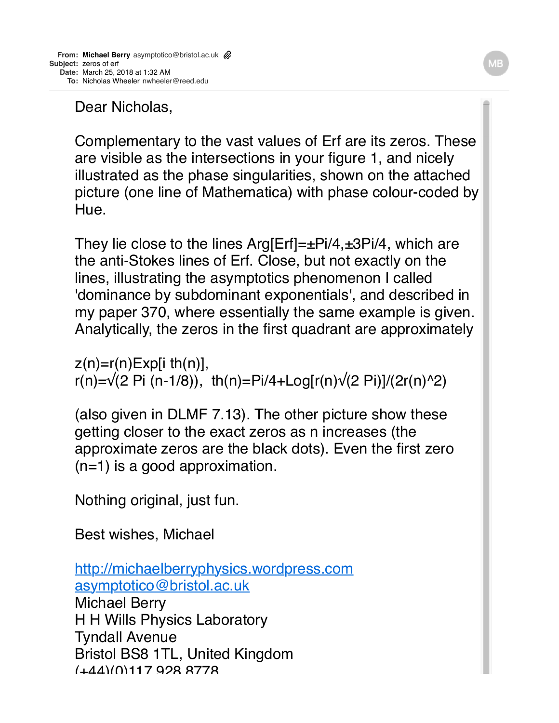Dear Nicholas,

Complementary to the vast values of Erf are its zeros. These are visible as the intersections in your figure 1, and nicely illustrated as the phase singularities, shown on the attached picture (one line of Mathematica) with phase colour-coded by Hue.

They lie close to the lines  $Arg[Erf]=\pm Pi/4,\pm 3Pi/4$ , which are the anti-Stokes lines of Erf. Close, but not exactly on the lines, illustrating the asymptotics phenomenon I called 'dominance by subdominant exponentials', and described in my paper 370, where essentially the same example is given. Analytically, the zeros in the first quadrant are approximately

 $z(n)=r(n)Exp[i th(n)],$ r(n)= $\sqrt{(2 \text{ Pi} (n-1/8))}$ , th(n)=Pi/4+Log[r(n) $\sqrt{(2 \text{ Pi})}/(2r(n)^{2})$ 

(also given in DLMF 7.13). The other picture show these getting closer to the exact zeros as n increases (the approximate zeros are the black dots). Even the first zero (n=1) is a good approximation.

Nothing original, just fun.

Best wishes, Michael

[http://michaelberryphysics.wordpress.com](http://michaelberryphysics.wordpress.com/) [asymptotico@bristol.ac.uk](mailto:asymptotico@bristol.ac.uk) Michael Berry H H Wills Physics Laboratory Tyndall Avenue Bristol BS8 1TL, United Kingdom (+44)(0)117 928 8778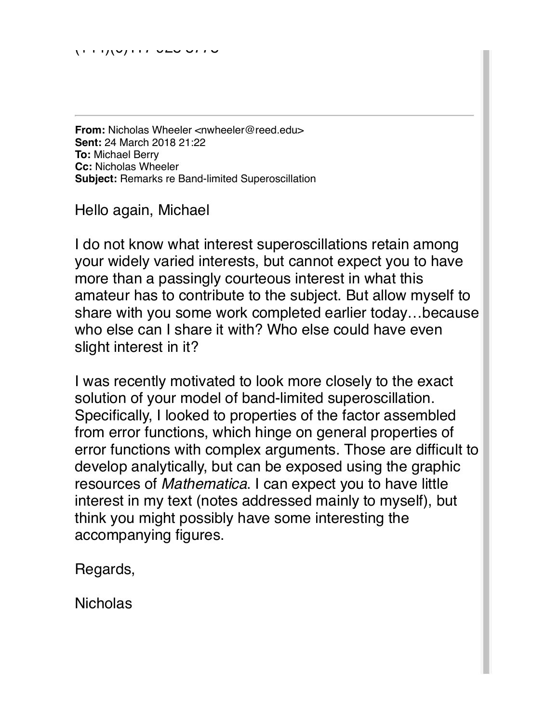**From:** Nicholas Wheeler <nwheeler@reed.edu> **Sent:** 24 March 2018 21:22 **To:** Michael Berry **Cc:** Nicholas Wheeler **Subject:** Remarks re Band-limited Superoscillation

Hello again, Michael

I do not know what interest superoscillations retain among your widely varied interests, but cannot expect you to have more than a passingly courteous interest in what this amateur has to contribute to the subject. But allow myself to share with you some work completed earlier today…because who else can I share it with? Who else could have even slight interest in it?

I was recently motivated to look more closely to the exact solution of your model of band-limited superoscillation. Specifically, I looked to properties of the factor assembled from error functions, which hinge on general properties of error functions with complex arguments. Those are difficult to develop analytically, but can be exposed using the graphic resources of *Mathematica*. I can expect you to have little interest in my text (notes addressed mainly to myself), but think you might possibly have some interesting the accompanying figures.

Regards,

**Nicholas**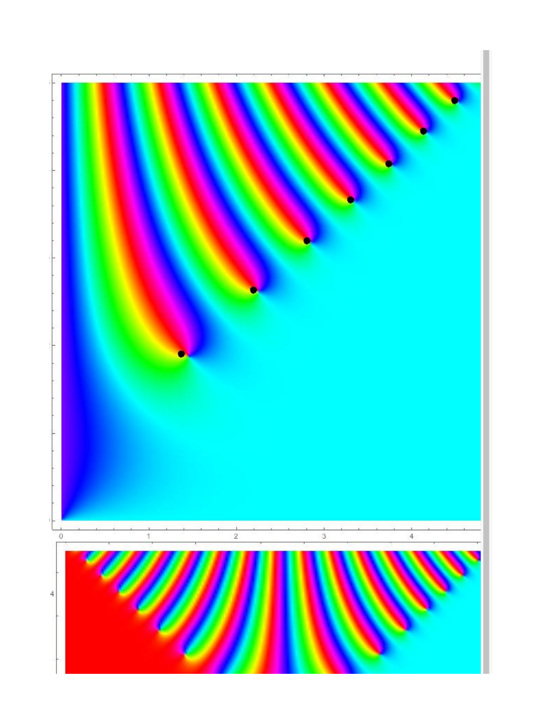